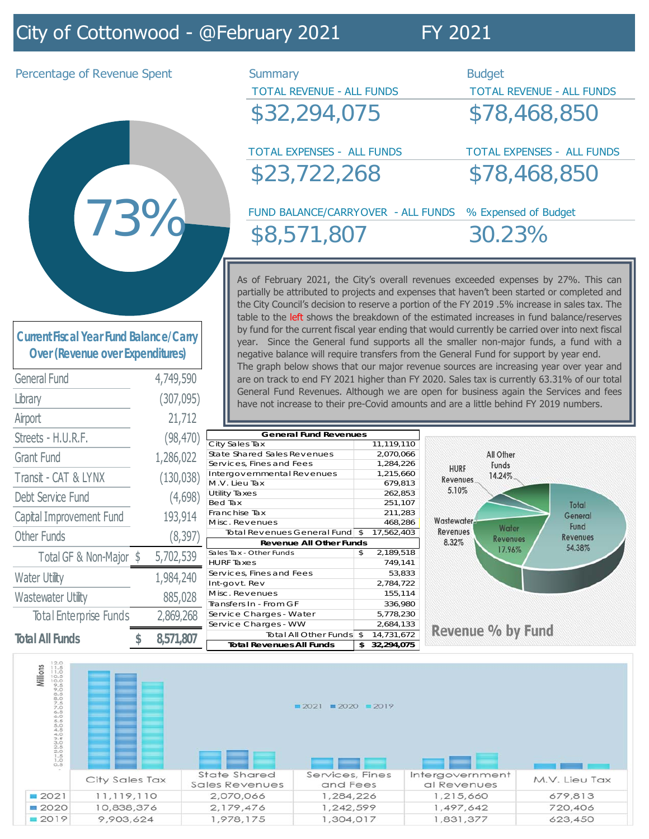# City of Cottonwood - @February 2021 FY 2021

Percentage of Revenue Spent Summary Summary Budget

\$32,294,075 \$78,468,850

TOTAL EXPENSES - ALL FUNDS TOTAL EXPENSES - ALL FUNDS \$23,722,268 \$78,468,850

TOTAL REVENUE - ALL FUNDS TOTAL REVENUE - ALL FUNDS

FUND BALANCE/CARRYOVER - ALL FUNDS % Expensed of Budget \$8,571,807 30.23%

As of February 2021, the City's overall revenues exceeded expenses by 27%. This can partially be attributed to projects and expenses that haven't been started or completed and the City Council's decision to reserve a portion of the FY 2019 .5% increase in sales tax. The table to the left shows the breakdown of the estimated increases in fund balance/reserves by fund for the current fiscal year ending that would currently be carried over into next fiscal year. Since the General fund supports all the smaller non-major funds, a fund with a negative balance will require transfers from the General Fund for support by year end. The graph below shows that our major revenue sources are increasing year over year and are on track to end FY 2021 higher than FY 2020. Sales tax is currently 63.31% of our total General Fund Revenues. Although we are open for business again the Services and fees have not increase to their pre-Covid amounts and are a little behind FY 2019 numbers.

| <b>Current Fiscal Year Fund Balance/Carry</b> |
|-----------------------------------------------|
| <b>Over (Revenue over Expenditures)</b>       |

73% 73%

| <b>General Fund</b>           |            | 4,749,590 |  |  |
|-------------------------------|------------|-----------|--|--|
| Library                       | (307, 095) |           |  |  |
| Airport                       |            | 21,712    |  |  |
| Streets - H.U.R.F.            | (98, 470)  |           |  |  |
| Grant Fund                    | 1,286,022  |           |  |  |
| Transit - CAT & LYNX          | (130,038)  |           |  |  |
| Debt Service Fund             | (4,698)    |           |  |  |
| Capital Improvement Fund      | 193,914    |           |  |  |
| <b>Other Funds</b>            |            | (8, 397)  |  |  |
| Total GF & Non-Major \$       |            | 5,702,539 |  |  |
| <b>Water Utility</b>          |            | 1,984,240 |  |  |
| <b>Wastewater Utility</b>     |            | 885,028   |  |  |
| <b>Total Enterprise Funds</b> |            | 2,869,268 |  |  |
| <b>Total All Funds</b>        | \$         | 8,571,807 |  |  |

City Sales Tax 11,119,110 State Shared Sales Revenues 2,070,066 Services, Fines and Fees 1,284,226 Intergovernmental Revenues 1,215,660 M.V. Lieu Tax 679,813 Utility Taxes 262,853 Bed Tax 251,107 Franchise Tax 211,283 Misc. Revenues 468,286<br>Total Revenues General Fund \$ 17,562,403 Total Revenues General Fund  $\overline{\$}$ Sales Tax - Other Funds \$ 2,189,518 HURF Taxes 749,141 Services, Fines and Fees 63,833 Int-govt. Rev 2,784,722 Misc. Revenues 155,114 Transfers In - From GF 336,980 Service Charges - Water 5,778,230 Service Charges - WW 2,684,133 Total All Other Funds  $\frac{1}{2}$  14,731,672 **Total Revenues All Funds 32,294,075 \$ Revenue All Other Funds General Fund Revenues**



Revenue % by Fund